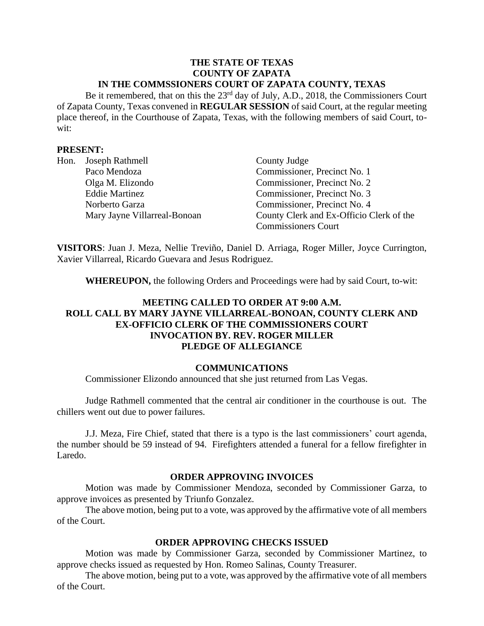#### **THE STATE OF TEXAS COUNTY OF ZAPATA IN THE COMMSSIONERS COURT OF ZAPATA COUNTY, TEXAS**

Be it remembered, that on this the 23<sup>rd</sup> day of July, A.D., 2018, the Commissioners Court of Zapata County, Texas convened in **REGULAR SESSION** of said Court, at the regular meeting place thereof, in the Courthouse of Zapata, Texas, with the following members of said Court, towit:

## **PRESENT:**

| Hon. | Joseph Rathmell              | County Judge                             |
|------|------------------------------|------------------------------------------|
|      | Paco Mendoza                 | Commissioner, Precinct No. 1             |
|      | Olga M. Elizondo             | Commissioner, Precinct No. 2             |
|      | <b>Eddie Martinez</b>        | Commissioner, Precinct No. 3             |
|      | Norberto Garza               | Commissioner, Precinct No. 4             |
|      | Mary Jayne Villarreal-Bonoan | County Clerk and Ex-Officio Clerk of the |
|      |                              | <b>Commissioners Court</b>               |

**VISITORS**: Juan J. Meza, Nellie Treviño, Daniel D. Arriaga, Roger Miller, Joyce Currington, Xavier Villarreal, Ricardo Guevara and Jesus Rodriguez.

**WHEREUPON,** the following Orders and Proceedings were had by said Court, to-wit:

# **MEETING CALLED TO ORDER AT 9:00 A.M. ROLL CALL BY MARY JAYNE VILLARREAL-BONOAN, COUNTY CLERK AND EX-OFFICIO CLERK OF THE COMMISSIONERS COURT INVOCATION BY. REV. ROGER MILLER PLEDGE OF ALLEGIANCE**

### **COMMUNICATIONS**

Commissioner Elizondo announced that she just returned from Las Vegas.

Judge Rathmell commented that the central air conditioner in the courthouse is out. The chillers went out due to power failures.

J.J. Meza, Fire Chief, stated that there is a typo is the last commissioners' court agenda, the number should be 59 instead of 94. Firefighters attended a funeral for a fellow firefighter in Laredo.

#### **ORDER APPROVING INVOICES**

Motion was made by Commissioner Mendoza, seconded by Commissioner Garza, to approve invoices as presented by Triunfo Gonzalez.

The above motion, being put to a vote, was approved by the affirmative vote of all members of the Court.

### **ORDER APPROVING CHECKS ISSUED**

Motion was made by Commissioner Garza, seconded by Commissioner Martinez, to approve checks issued as requested by Hon. Romeo Salinas, County Treasurer.

The above motion, being put to a vote, was approved by the affirmative vote of all members of the Court.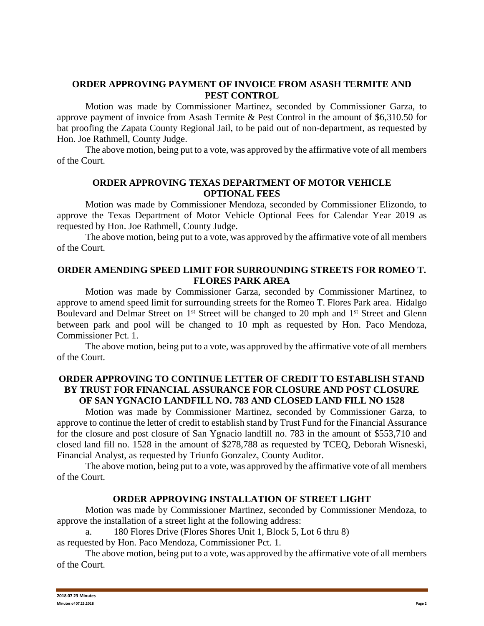## **ORDER APPROVING PAYMENT OF INVOICE FROM ASASH TERMITE AND PEST CONTROL**

Motion was made by Commissioner Martinez, seconded by Commissioner Garza, to approve payment of invoice from Asash Termite & Pest Control in the amount of \$6,310.50 for bat proofing the Zapata County Regional Jail, to be paid out of non-department, as requested by Hon. Joe Rathmell, County Judge.

The above motion, being put to a vote, was approved by the affirmative vote of all members of the Court.

## **ORDER APPROVING TEXAS DEPARTMENT OF MOTOR VEHICLE OPTIONAL FEES**

Motion was made by Commissioner Mendoza, seconded by Commissioner Elizondo, to approve the Texas Department of Motor Vehicle Optional Fees for Calendar Year 2019 as requested by Hon. Joe Rathmell, County Judge.

The above motion, being put to a vote, was approved by the affirmative vote of all members of the Court.

### **ORDER AMENDING SPEED LIMIT FOR SURROUNDING STREETS FOR ROMEO T. FLORES PARK AREA**

Motion was made by Commissioner Garza, seconded by Commissioner Martinez, to approve to amend speed limit for surrounding streets for the Romeo T. Flores Park area. Hidalgo Boulevard and Delmar Street on 1<sup>st</sup> Street will be changed to 20 mph and 1<sup>st</sup> Street and Glenn between park and pool will be changed to 10 mph as requested by Hon. Paco Mendoza, Commissioner Pct. 1.

The above motion, being put to a vote, was approved by the affirmative vote of all members of the Court.

# **ORDER APPROVING TO CONTINUE LETTER OF CREDIT TO ESTABLISH STAND BY TRUST FOR FINANCIAL ASSURANCE FOR CLOSURE AND POST CLOSURE OF SAN YGNACIO LANDFILL NO. 783 AND CLOSED LAND FILL NO 1528**

Motion was made by Commissioner Martinez, seconded by Commissioner Garza, to approve to continue the letter of credit to establish stand by Trust Fund for the Financial Assurance for the closure and post closure of San Ygnacio landfill no. 783 in the amount of \$553,710 and closed land fill no. 1528 in the amount of \$278,788 as requested by TCEQ, Deborah Wisneski, Financial Analyst, as requested by Triunfo Gonzalez, County Auditor.

The above motion, being put to a vote, was approved by the affirmative vote of all members of the Court.

### **ORDER APPROVING INSTALLATION OF STREET LIGHT**

Motion was made by Commissioner Martinez, seconded by Commissioner Mendoza, to approve the installation of a street light at the following address:

a. 180 Flores Drive (Flores Shores Unit 1, Block 5, Lot 6 thru 8)

as requested by Hon. Paco Mendoza, Commissioner Pct. 1.

The above motion, being put to a vote, was approved by the affirmative vote of all members of the Court.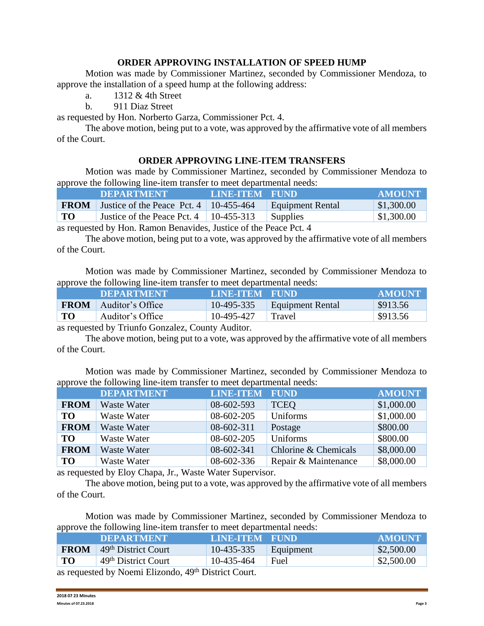### **ORDER APPROVING INSTALLATION OF SPEED HUMP**

Motion was made by Commissioner Martinez, seconded by Commissioner Mendoza, to approve the installation of a speed hump at the following address:

a. 1312 & 4th Street

b. 911 Diaz Street

as requested by Hon. Norberto Garza, Commissioner Pct. 4.

The above motion, being put to a vote, was approved by the affirmative vote of all members of the Court.

### **ORDER APPROVING LINE-ITEM TRANSFERS**

Motion was made by Commissioner Martinez, seconded by Commissioner Mendoza to approve the following line-item transfer to meet departmental needs:

|             | <b>DEPARTMENT</b>                             | LINE-ITEM FUND |                  | <b>AMOUNT</b>  |
|-------------|-----------------------------------------------|----------------|------------------|----------------|
| <b>FROM</b> | Justice of the Peace Pct. $4 \mid 10-455-464$ |                | Equipment Rental | \$1,300.00     |
| TO          | Justice of the Peace Pct. 4                   | $10-455-313$   | <b>Supplies</b>  | $\$\,1,300.00$ |

as requested by Hon. Ramon Benavides, Justice of the Peace Pct. 4

The above motion, being put to a vote, was approved by the affirmative vote of all members of the Court.

Motion was made by Commissioner Martinez, seconded by Commissioner Mendoza to approve the following line-item transfer to meet departmental needs:

| .           | <b>DEPARTMENT</b> | LINE-ITEM FUND |                  | <b>AMOUNT</b>       |
|-------------|-------------------|----------------|------------------|---------------------|
| <b>FROM</b> | Auditor's Office  | $10-495-335$   | Equipment Rental | \$913.56            |
| TO          | Auditor's Office  | 10-495-427     | Travel           | $\frac{$913.56}{ }$ |

as requested by Triunfo Gonzalez, County Auditor.

The above motion, being put to a vote, was approved by the affirmative vote of all members of the Court.

Motion was made by Commissioner Martinez, seconded by Commissioner Mendoza to approve the following line-item transfer to meet departmental needs:

|             | <b>DEPARTMENT</b>  | <b>LINE-ITEM FUND</b> |                      | <b>AMOUNT</b> |
|-------------|--------------------|-----------------------|----------------------|---------------|
| <b>FROM</b> | Waste Water        | 08-602-593            | <b>TCEQ</b>          | \$1,000.00    |
| <b>TO</b>   | Waste Water        | 08-602-205            | Uniforms             | \$1,000.00    |
| <b>FROM</b> | <b>Waste Water</b> | 08-602-311            | Postage              | \$800.00      |
| <b>TO</b>   | Waste Water        | 08-602-205            | Uniforms             | \$800.00      |
| <b>FROM</b> | Waste Water        | 08-602-341            | Chlorine & Chemicals | \$8,000.00    |
| <b>TO</b>   | Waste Water        | 08-602-336            | Repair & Maintenance | \$8,000.00    |
|             |                    |                       |                      |               |

as requested by Eloy Chapa, Jr., Waste Water Supervisor.

The above motion, being put to a vote, was approved by the affirmative vote of all members of the Court.

Motion was made by Commissioner Martinez, seconded by Commissioner Mendoza to approve the following line-item transfer to meet departmental needs:

| .                                                               | <b>DEPARTMENT</b>               | LINE-ITEM FUND |           | <b>AMOUNT</b> |
|-----------------------------------------------------------------|---------------------------------|----------------|-----------|---------------|
| <b>FROM</b>                                                     | 49 <sup>th</sup> District Court | 10-435-335     | Equipment | \$2,500.00    |
| TO                                                              | 49 <sup>th</sup> District Court | 10-435-464     | Fuel      | \$2,500.00    |
| as requested by Noemi Elizondo. 49 <sup>th</sup> District Court |                                 |                |           |               |

as requested by Noemi Elizondo, 49<sup>th</sup> District Court.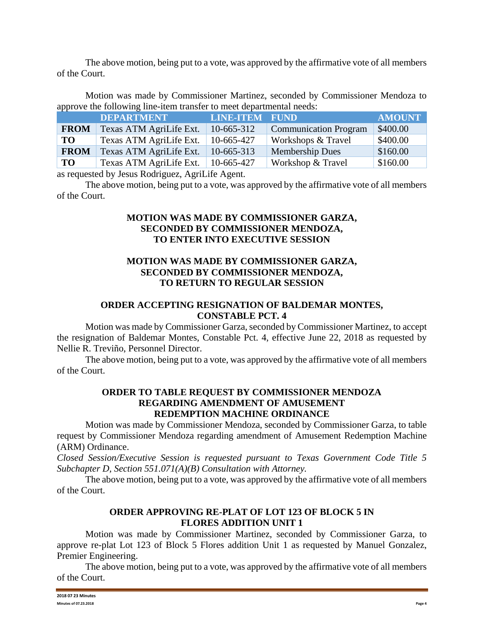The above motion, being put to a vote, was approved by the affirmative vote of all members of the Court.

Motion was made by Commissioner Martinez, seconded by Commissioner Mendoza to approve the following line-item transfer to meet departmental needs:

|             | <b>DEPARTMENT</b>       | <b>LINE-ITEM FUND</b> |                              | <b>AMOUNT</b> |
|-------------|-------------------------|-----------------------|------------------------------|---------------|
| <b>FROM</b> | Texas ATM AgriLife Ext. | 10-665-312            | <b>Communication Program</b> | \$400.00      |
| <b>TO</b>   | Texas ATM AgriLife Ext. | 10-665-427            | Workshops & Travel           | \$400.00      |
| <b>FROM</b> | Texas ATM AgriLife Ext. | 10-665-313            | <b>Membership Dues</b>       | \$160.00      |
| <b>TO</b>   | Texas ATM AgriLife Ext. | 10-665-427            | Workshop & Travel            | \$160.00      |

as requested by Jesus Rodriguez, AgriLife Agent.

The above motion, being put to a vote, was approved by the affirmative vote of all members of the Court.

## **MOTION WAS MADE BY COMMISSIONER GARZA, SECONDED BY COMMISSIONER MENDOZA, TO ENTER INTO EXECUTIVE SESSION**

## **MOTION WAS MADE BY COMMISSIONER GARZA, SECONDED BY COMMISSIONER MENDOZA, TO RETURN TO REGULAR SESSION**

# **ORDER ACCEPTING RESIGNATION OF BALDEMAR MONTES, CONSTABLE PCT. 4**

Motion was made by Commissioner Garza, seconded by Commissioner Martinez, to accept the resignation of Baldemar Montes, Constable Pct. 4, effective June 22, 2018 as requested by Nellie R. Treviño, Personnel Director.

The above motion, being put to a vote, was approved by the affirmative vote of all members of the Court.

# **ORDER TO TABLE REQUEST BY COMMISSIONER MENDOZA REGARDING AMENDMENT OF AMUSEMENT REDEMPTION MACHINE ORDINANCE**

Motion was made by Commissioner Mendoza, seconded by Commissioner Garza, to table request by Commissioner Mendoza regarding amendment of Amusement Redemption Machine (ARM) Ordinance.

*Closed Session/Executive Session is requested pursuant to Texas Government Code Title 5 Subchapter D, Section 551.071(A)(B) Consultation with Attorney.*

The above motion, being put to a vote, was approved by the affirmative vote of all members of the Court.

# **ORDER APPROVING RE-PLAT OF LOT 123 OF BLOCK 5 IN FLORES ADDITION UNIT 1**

Motion was made by Commissioner Martinez, seconded by Commissioner Garza, to approve re-plat Lot 123 of Block 5 Flores addition Unit 1 as requested by Manuel Gonzalez, Premier Engineering.

The above motion, being put to a vote, was approved by the affirmative vote of all members of the Court.

| 2018 07 23 Minutes<br>. |        |
|-------------------------|--------|
| Minutes of 07.23.2018   | Page 4 |